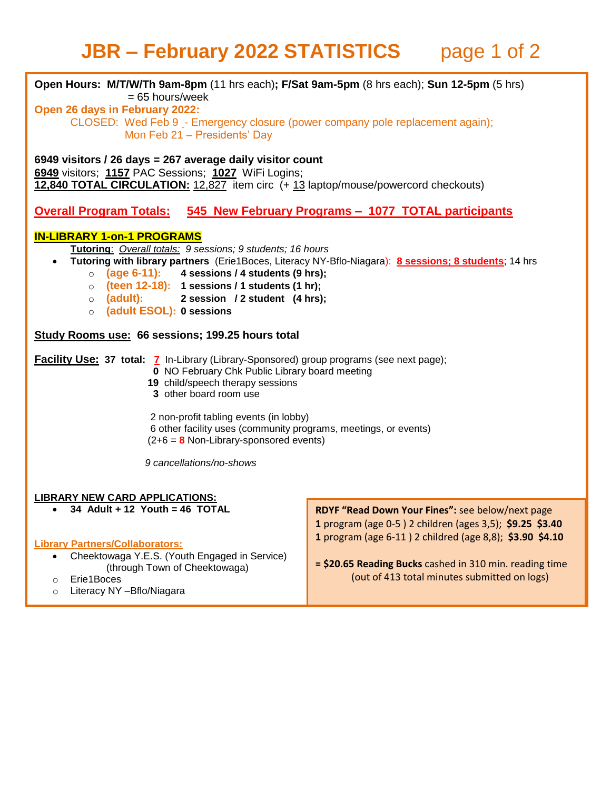## **JBR – February 2022 STATISTICS** page 1 of 2

| Open Hours: M/T/W/Th 9am-8pm (11 hrs each); F/Sat 9am-5pm (8 hrs each); Sun 12-5pm (5 hrs)<br>$= 65$ hours/week<br>Open 26 days in February 2022:<br>CLOSED: Wed Feb 9 - Emergency closure (power company pole replacement again);<br>Mon Feb 21 - Presidents' Day                                                                                                                                                             |                                                                                                                                                                                                                                                                                     |
|--------------------------------------------------------------------------------------------------------------------------------------------------------------------------------------------------------------------------------------------------------------------------------------------------------------------------------------------------------------------------------------------------------------------------------|-------------------------------------------------------------------------------------------------------------------------------------------------------------------------------------------------------------------------------------------------------------------------------------|
| 6949 visitors / 26 days = 267 average daily visitor count<br>6949 visitors; 1157 PAC Sessions; 1027 WiFi Logins;<br>12,840 TOTAL CIRCULATION: 12,827 item circ (+ 13 laptop/mouse/powercord checkouts)                                                                                                                                                                                                                         |                                                                                                                                                                                                                                                                                     |
| <u><b>Overall Program Totals: 545 New February Programs - 1077 TOTAL participants</b></u>                                                                                                                                                                                                                                                                                                                                      |                                                                                                                                                                                                                                                                                     |
| <b>IN-LIBRARY 1-on-1 PROGRAMS</b><br>Tutoring: Overall totals: 9 sessions; 9 students; 16 hours<br>Tutoring with library partners (Erie1Boces, Literacy NY-Bflo-Niagara): 8 sessions; 8 students; 14 hrs<br>$(age 6-11):$ 4 sessions / 4 students (9 hrs);<br>$\circ$<br>(teen 12-18): 1 sessions / 1 students (1 hr);<br>$\circ$<br>(adult): 2 session / 2 student (4 hrs);<br>$\circ$<br>(adult ESOL): 0 sessions<br>$\circ$ |                                                                                                                                                                                                                                                                                     |
| Study Rooms use: 66 sessions; 199.25 hours total                                                                                                                                                                                                                                                                                                                                                                               |                                                                                                                                                                                                                                                                                     |
| <b>Facility Use: 37 total: 7</b> In-Library (Library-Sponsored) group programs (see next page);<br>0 NO February Chk Public Library board meeting<br>19 child/speech therapy sessions<br>3 other board room use                                                                                                                                                                                                                |                                                                                                                                                                                                                                                                                     |
| 2 non-profit tabling events (in lobby)<br>6 other facility uses (community programs, meetings, or events)<br>$(2+6 = 8$ Non-Library-sponsored events)                                                                                                                                                                                                                                                                          |                                                                                                                                                                                                                                                                                     |
| 9 cancellations/no-shows                                                                                                                                                                                                                                                                                                                                                                                                       |                                                                                                                                                                                                                                                                                     |
| <b>LIBRARY NEW CARD APPLICATIONS:</b>                                                                                                                                                                                                                                                                                                                                                                                          |                                                                                                                                                                                                                                                                                     |
| 34 Adult + 12 Youth = 46 TOTAL<br>$\bullet$<br><b>Library Partners/Collaborators:</b><br>Cheektowaga Y.E.S. (Youth Engaged in Service)<br>$\bullet$<br>(through Town of Cheektowaga)<br>Erie1Boces<br>$\circ$<br>Literacy NY - Bflo/Niagara<br>$\circ$                                                                                                                                                                         | RDYF "Read Down Your Fines": see below/next page<br>1 program (age 0-5) 2 children (ages 3,5); \$9.25 \$3.40<br>1 program (age 6-11) 2 childred (age 8,8); \$3.90 \$4.10<br>= \$20.65 Reading Bucks cashed in 310 min. reading time<br>(out of 413 total minutes submitted on logs) |
|                                                                                                                                                                                                                                                                                                                                                                                                                                |                                                                                                                                                                                                                                                                                     |